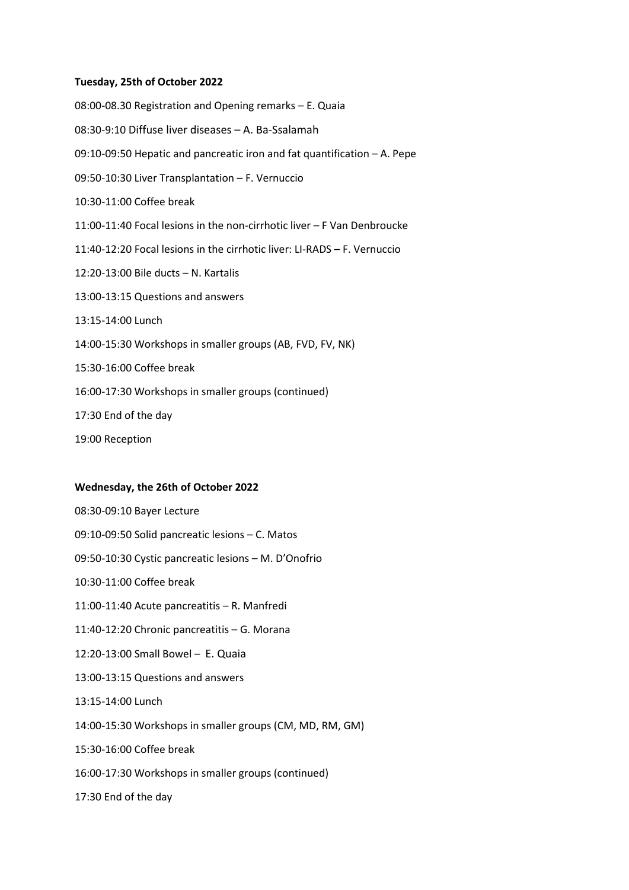# **Tuesday, 25th of October 2022**

08:00-08.30 Registration and Opening remarks – E. Quaia 08:30-9:10 Diffuse liver diseases – A. Ba-Ssalamah 09:10-09:50 Hepatic and pancreatic iron and fat quantification – A. Pepe 09:50-10:30 Liver Transplantation – F. Vernuccio 10:30-11:00 Coffee break 11:00-11:40 Focal lesions in the non-cirrhotic liver – F Van Denbroucke 11:40-12:20 Focal lesions in the cirrhotic liver: LI-RADS – F. Vernuccio 12:20-13:00 Bile ducts – N. Kartalis 13:00-13:15 Questions and answers 13:15-14:00 Lunch 14:00-15:30 Workshops in smaller groups (AB, FVD, FV, NK) 15:30-16:00 Coffee break 16:00-17:30 Workshops in smaller groups (continued) 17:30 End of the day

19:00 Reception

# **Wednesday, the 26th of October 2022**

08:30-09:10 Bayer Lecture 09:10-09:50 Solid pancreatic lesions – C. Matos 09:50-10:30 Cystic pancreatic lesions – M. D'Onofrio 10:30-11:00 Coffee break 11:00-11:40 Acute pancreatitis – R. Manfredi 11:40-12:20 Chronic pancreatitis – G. Morana 12:20-13:00 Small Bowel – E. Quaia 13:00-13:15 Questions and answers 13:15-14:00 Lunch 14:00-15:30 Workshops in smaller groups (CM, MD, RM, GM) 15:30-16:00 Coffee break 16:00-17:30 Workshops in smaller groups (continued) 17:30 End of the day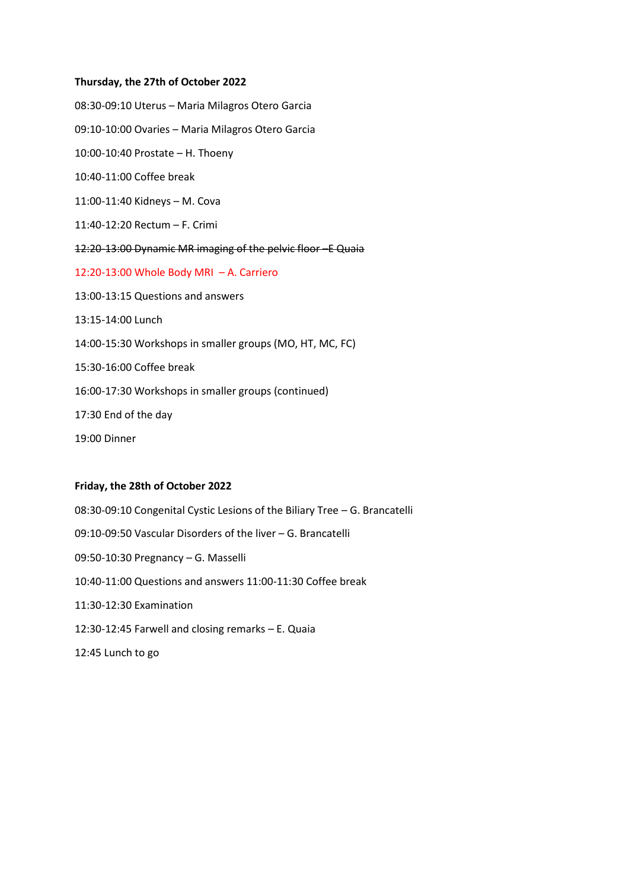# **Thursday, the 27th of October 2022**

08:30-09:10 Uterus – Maria Milagros Otero Garcia 09:10-10:00 Ovaries – Maria Milagros Otero Garcia 10:00-10:40 Prostate – H. Thoeny 10:40-11:00 Coffee break 11:00-11:40 Kidneys – M. Cova 11:40-12:20 Rectum – F. Crimi 12:20-13:00 Dynamic MR imaging of the pelvic floor –E Quaia 12:20-13:00 Whole Body MRI – A. Carriero 13:00-13:15 Questions and answers 13:15-14:00 Lunch 14:00-15:30 Workshops in smaller groups (MO, HT, MC, FC) 15:30-16:00 Coffee break 16:00-17:30 Workshops in smaller groups (continued) 17:30 End of the day 19:00 Dinner

# **Friday, the 28th of October 2022**

08:30-09:10 Congenital Cystic Lesions of the Biliary Tree – G. Brancatelli 09:10-09:50 Vascular Disorders of the liver – G. Brancatelli 09:50-10:30 Pregnancy – G. Masselli 10:40-11:00 Questions and answers 11:00-11:30 Coffee break 11:30-12:30 Examination 12:30-12:45 Farwell and closing remarks – E. Quaia 12:45 Lunch to go